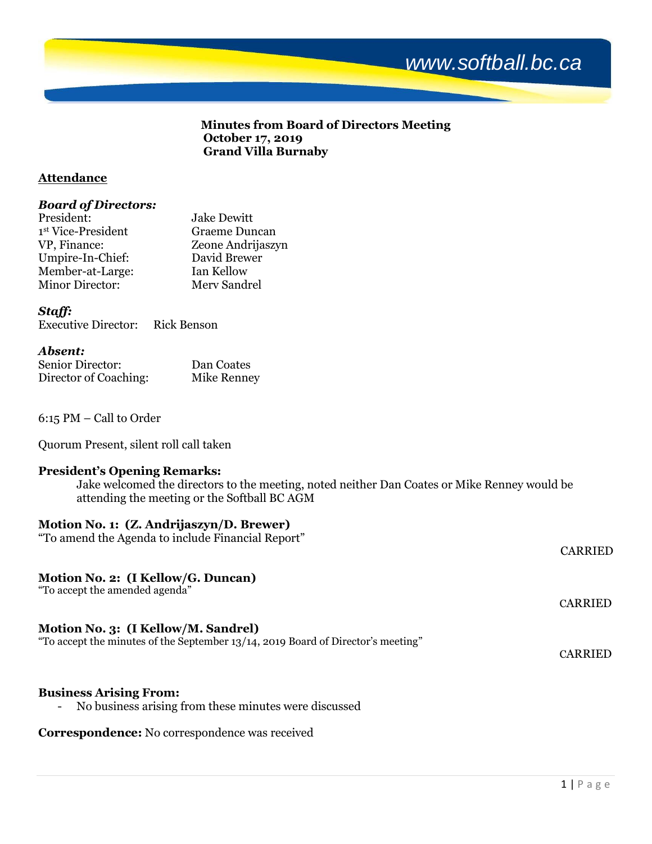# *www.softball.bc.ca*

### **Minutes from Board of Directors Meeting October 17, 2019 Grand Villa Burnaby**

### **Attendance**

#### *Board of Directors:*

| President:             | <b>Jake Dewitt</b> |
|------------------------|--------------------|
| 1st Vice-President     | Graeme Duncan      |
| VP, Finance:           | Zeone Andrijaszyn  |
| Umpire-In-Chief:       | David Brewer       |
| Member-at-Large:       | Ian Kellow         |
| <b>Minor Director:</b> | Mery Sandrel       |

# *Staff:*

| <b>Executive Director:</b> | <b>Rick Benson</b> |
|----------------------------|--------------------|

#### *Absent:*

| Senior Director:      | Dan Coates  |
|-----------------------|-------------|
| Director of Coaching: | Mike Renney |

6:15 PM – Call to Order

Quorum Present, silent roll call taken

# **President's Opening Remarks:**

Jake welcomed the directors to the meeting, noted neither Dan Coates or Mike Renney would be attending the meeting or the Softball BC AGM

CARRIED

CARRIED

# **Motion No. 1: (Z. Andrijaszyn/D. Brewer)**

"To amend the Agenda to include Financial Report"

# **Motion No. 2: (I Kellow/G. Duncan)**

"To accept the amended agenda"

#### **Motion No. 3: (I Kellow/M. Sandrel)**

"To accept the minutes of the September 13/14, 2019 Board of Director's meeting"

#### **Business Arising From:**

- No business arising from these minutes were discussed

**Correspondence:** No correspondence was received

CARRIED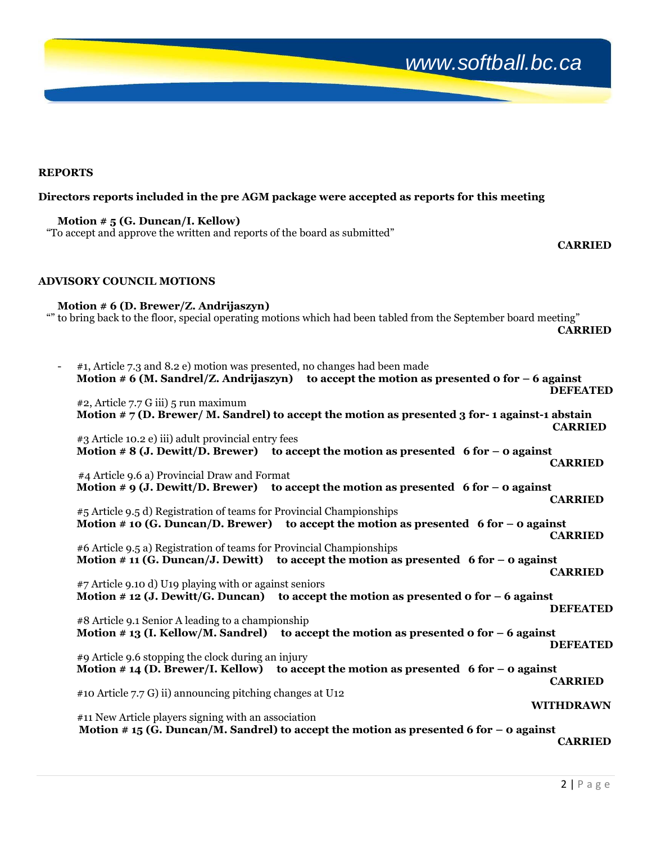# *www.softball.bc.ca*

**REPORTS** 

#### **Directors reports included in the pre AGM package were accepted as reports for this meeting**

**Motion # 5 (G. Duncan/I. Kellow)** "To accept and approve the written and reports of the board as submitted"

#### *CARRIED*

#### **ADVISORY COUNCIL MOTIONS**

**Motion # 6 (D. Brewer/Z. Andrijaszyn)** "" to bring back to the floor, special operating motions which had been tabled from the September board meeting" *CARRIED* 

| #1, Article 7.3 and 8.2 e) motion was presented, no changes had been made | Motion # 6 (M. Sandrel/Z. Andrijaszyn) to accept the motion as presented o for $-$ 6 against      | <b>DEFEATED</b>  |
|---------------------------------------------------------------------------|---------------------------------------------------------------------------------------------------|------------------|
| #2, Article 7.7 G iii) 5 run maximum                                      |                                                                                                   |                  |
|                                                                           | Motion $\#$ 7 (D. Brewer/ M. Sandrel) to accept the motion as presented 3 for-1 against-1 abstain | <b>CARRIED</b>   |
| #3 Article 10.2 e) iii) adult provincial entry fees                       |                                                                                                   |                  |
|                                                                           | Motion # $8$ (J. Dewitt/D. Brewer) to accept the motion as presented 6 for - 0 against            | <b>CARRIED</b>   |
| #4 Article 9.6 a) Provincial Draw and Format                              |                                                                                                   |                  |
|                                                                           | Motion # 9 (J. Dewitt/D. Brewer) to accept the motion as presented 6 for $-$ 0 against            | <b>CARRIED</b>   |
| #5 Article 9.5 d) Registration of teams for Provincial Championships      |                                                                                                   |                  |
|                                                                           | Motion # 10 (G. Duncan/D. Brewer) to accept the motion as presented 6 for $-$ 0 against           |                  |
|                                                                           |                                                                                                   | <b>CARRIED</b>   |
| #6 Article 9.5 a) Registration of teams for Provincial Championships      |                                                                                                   |                  |
|                                                                           | Motion # 11 (G. Duncan/J. Dewitt) to accept the motion as presented 6 for $-$ 0 against           | <b>CARRIED</b>   |
| #7 Article 9.10 d) U19 playing with or against seniors                    |                                                                                                   |                  |
|                                                                           | Motion # 12 (J. Dewitt/G. Duncan) to accept the motion as presented o for $-6$ against            |                  |
|                                                                           |                                                                                                   | <b>DEFEATED</b>  |
| #8 Article 9.1 Senior A leading to a championship                         |                                                                                                   |                  |
|                                                                           | Motion # 13 (I. Kellow/M. Sandrel) to accept the motion as presented o for $-6$ against           | <b>DEFEATED</b>  |
| #9 Article 9.6 stopping the clock during an injury                        |                                                                                                   |                  |
|                                                                           | Motion # 14 (D. Brewer/I. Kellow) to accept the motion as presented 6 for $-$ 0 against           |                  |
|                                                                           |                                                                                                   | <b>CARRIED</b>   |
| #10 Article 7.7 G) ii) announcing pitching changes at U12                 |                                                                                                   |                  |
|                                                                           |                                                                                                   | <b>WITHDRAWN</b> |
| #11 New Article players signing with an association                       |                                                                                                   |                  |
|                                                                           | Motion #15 (G. Duncan/M. Sandrel) to accept the motion as presented 6 for $-$ 0 against           | <b>CARRIED</b>   |
|                                                                           |                                                                                                   |                  |